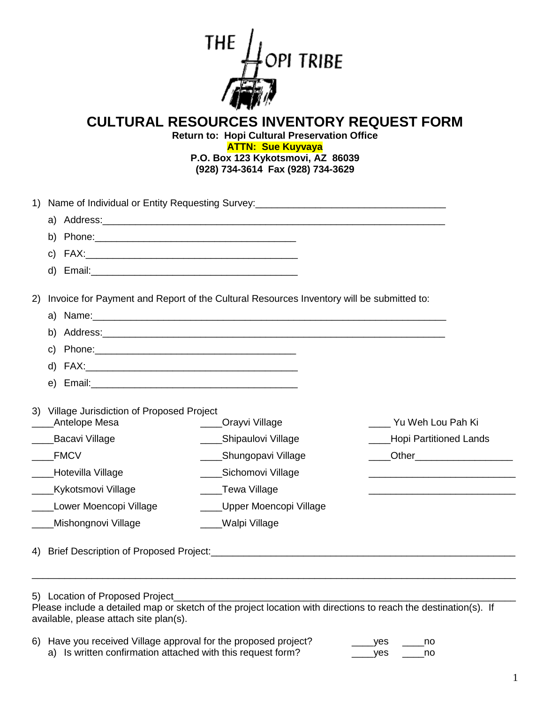

## **CULTURAL RESOURCES INVENTORY REQUEST FORM**

**Return to: Hopi Cultural Preservation Office ATTN: Sue Kuyvaya P.O. Box 123 Kykotsmovi, AZ 86039 (928) 734-3614 Fax (928) 734-3629**

| <b>Bacavi Village</b><br><b>FMCV</b><br>Hotevilla Village | ____Shipaulovi Village<br>Shungopavi Village<br>Sichomovi Village                                               | Yu Weh Lou Pah Ki<br>Hopi Partitioned Lands                                                                                                                                                                                                                                                                                                |
|-----------------------------------------------------------|-----------------------------------------------------------------------------------------------------------------|--------------------------------------------------------------------------------------------------------------------------------------------------------------------------------------------------------------------------------------------------------------------------------------------------------------------------------------------|
|                                                           |                                                                                                                 |                                                                                                                                                                                                                                                                                                                                            |
|                                                           |                                                                                                                 |                                                                                                                                                                                                                                                                                                                                            |
|                                                           |                                                                                                                 |                                                                                                                                                                                                                                                                                                                                            |
|                                                           |                                                                                                                 |                                                                                                                                                                                                                                                                                                                                            |
|                                                           |                                                                                                                 |                                                                                                                                                                                                                                                                                                                                            |
| 5) Location of Proposed Project                           | Please include a detailed map or sketch of the project location with directions to reach the destination(s). If |                                                                                                                                                                                                                                                                                                                                            |
|                                                           | Antelope Mesa<br>Kykotsmovi Village<br>Lower Moencopi Village<br>Mishongnovi Village                            | Invoice for Payment and Report of the Cultural Resources Inventory will be submitted to:<br>Name: 2008. 2008. 2010. 2010. 2010. 2010. 2010. 2010. 2010. 2010. 2010. 2010. 2010. 2010. 2010. 2010. 2010. 20<br>Village Jurisdiction of Proposed Project<br>Orayvi Village<br>____Tewa Village<br>___Upper Moencopi Village<br>Walpi Village |

a) Is written confirmation attached with this request form? \_\_\_\_\_\_yes \_\_\_\_\_no